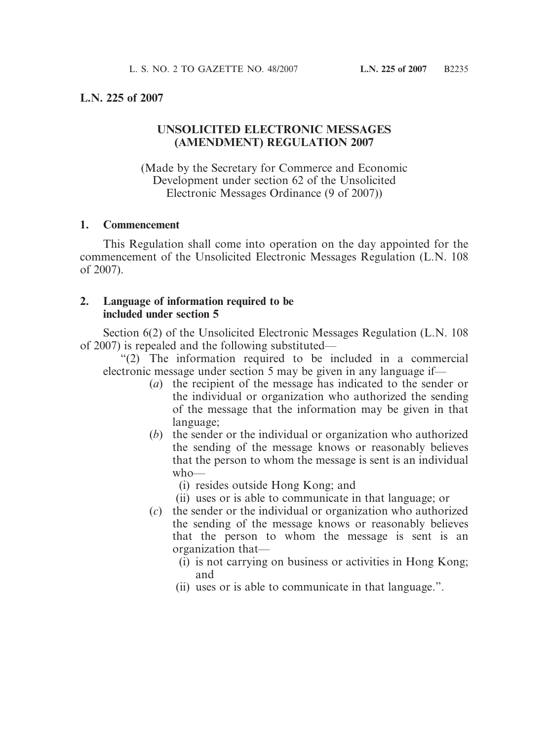## **L.N. 225 of 2007**

# **UNSOLICITED ELECTRONIC MESSAGES (AMENDMENT) REGULATION 2007**

(Made by the Secretary for Commerce and Economic Development under section 62 of the Unsolicited Electronic Messages Ordinance (9 of 2007))

#### **1. Commencement**

This Regulation shall come into operation on the day appointed for the commencement of the Unsolicited Electronic Messages Regulation (L.N. 108 of 2007).

### **2. Language of information required to be included under section 5**

Section 6(2) of the Unsolicited Electronic Messages Regulation (L.N. 108 of 2007) is repealed and the following substituted—

"(2) The information required to be included in a commercial electronic message under section 5 may be given in any language if—

- (*a*) the recipient of the message has indicated to the sender or the individual or organization who authorized the sending of the message that the information may be given in that language;
- (*b*) the sender or the individual or organization who authorized the sending of the message knows or reasonably believes that the person to whom the message is sent is an individual who—
	- (i) resides outside Hong Kong; and
	- (ii) uses or is able to communicate in that language; or
- (*c*) the sender or the individual or organization who authorized the sending of the message knows or reasonably believes that the person to whom the message is sent is an organization that—
	- (i) is not carrying on business or activities in Hong Kong; and
	- (ii) uses or is able to communicate in that language.".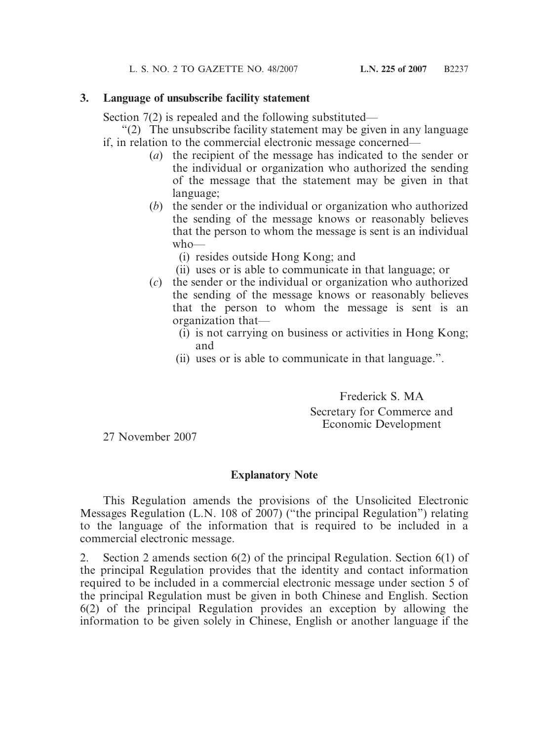# **3. Language of unsubscribe facility statement**

Section 7(2) is repealed and the following substituted—

"(2) The unsubscribe facility statement may be given in any language if, in relation to the commercial electronic message concerned—

- (*a*) the recipient of the message has indicated to the sender or the individual or organization who authorized the sending of the message that the statement may be given in that language;
- (*b*) the sender or the individual or organization who authorized the sending of the message knows or reasonably believes that the person to whom the message is sent is an individual who—
	- (i) resides outside Hong Kong; and
	- (ii) uses or is able to communicate in that language; or
- (*c*) the sender or the individual or organization who authorized the sending of the message knows or reasonably believes that the person to whom the message is sent is an organization that—
	- (i) is not carrying on business or activities in Hong Kong; and
	- (ii) uses or is able to communicate in that language.".

Frederick S. MA Secretary for Commerce and Economic Development

27 November 2007

# **Explanatory Note**

This Regulation amends the provisions of the Unsolicited Electronic Messages Regulation (L.N. 108 of 2007) ("the principal Regulation") relating to the language of the information that is required to be included in a commercial electronic message.

2. Section 2 amends section 6(2) of the principal Regulation. Section 6(1) of the principal Regulation provides that the identity and contact information required to be included in a commercial electronic message under section 5 of the principal Regulation must be given in both Chinese and English. Section 6(2) of the principal Regulation provides an exception by allowing the information to be given solely in Chinese, English or another language if the